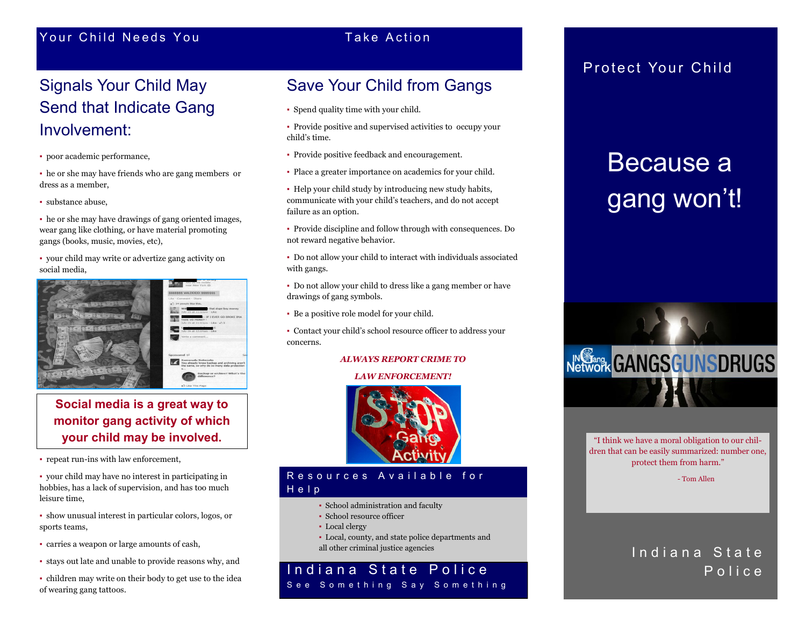## Your Child Needs You and the County Take Action

# Signals Your Child May Send that Indicate Gang Involvement:

▪ poor academic performance,

- he or she may have friends who are gang members or dress as a member,
- substance abuse,

▪ he or she may have drawings of gang oriented images, wear gang like clothing, or have material promoting gangs (books, music, movies, etc),

▪ your child may write or advertize gang activity on social media,



## **Social media is a great way to monitor gang activity of which your child may be involved.**

▪ repeat run-ins with law enforcement,

▪ your child may have no interest in participating in hobbies, has a lack of supervision, and has too much leisure time,

▪ show unusual interest in particular colors, logos, or sports teams,

▪ carries a weapon or large amounts of cash,

- stays out late and unable to provide reasons why, and
- children may write on their body to get use to the idea of wearing gang tattoos.

## Save Your Child from Gangs

- Spend quality time with your child.
- Provide positive and supervised activities to occupy your child's time.
- Provide positive feedback and encouragement.
- Place a greater importance on academics for your child.
- as failure as an option. ▪ Help your child study by introducing new study habits, communicate with your child's teachers, and do not accept
- Provide discipline and follow through with consequences. Do not reward negative behavior.
- Do not allow your child to interact with individuals associated with gangs.
- Do not allow your child to dress like a gang member or have drawings of gang symbols.
- Be a positive role model for your child.

▪ Contact your child's school resource officer to address your concerns.

### *ALWAYS REPORT CRIME TO*

### *LAW ENFORCEMENT!*



### Resources Available for H e l p

- School administration and faculty
- School resource officer
- Local clergy
- Local, county, and state police departments and all other criminal justice agencies

## Indiana State Police **Contract Contract Contract Police** See Something Say Something

## Protect Your Child

# Because a gang won't!



"I think we have a moral obligation to our children that can be easily summarized: number one, protect them from harm."

- Tom Allen

# Indiana State